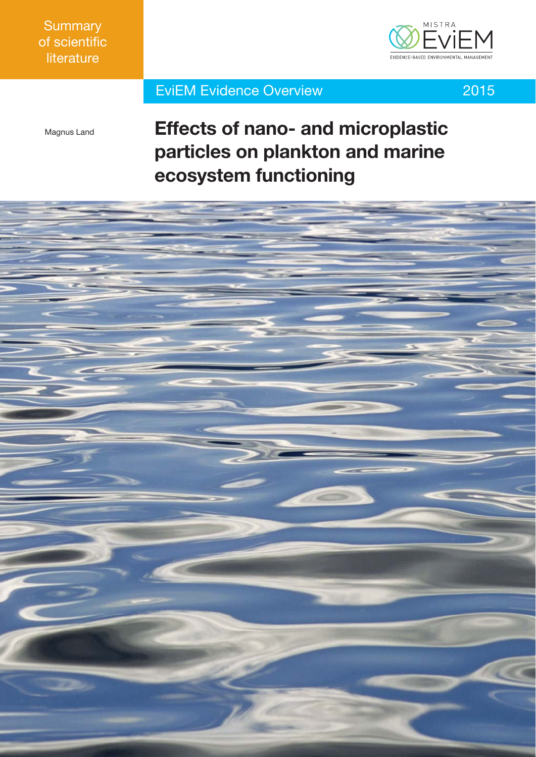

## EviEM Evidence Overview 2015



Magnus Land

# **Effects of nano- and microplastic particles on plankton and marine ecosystem functioning**

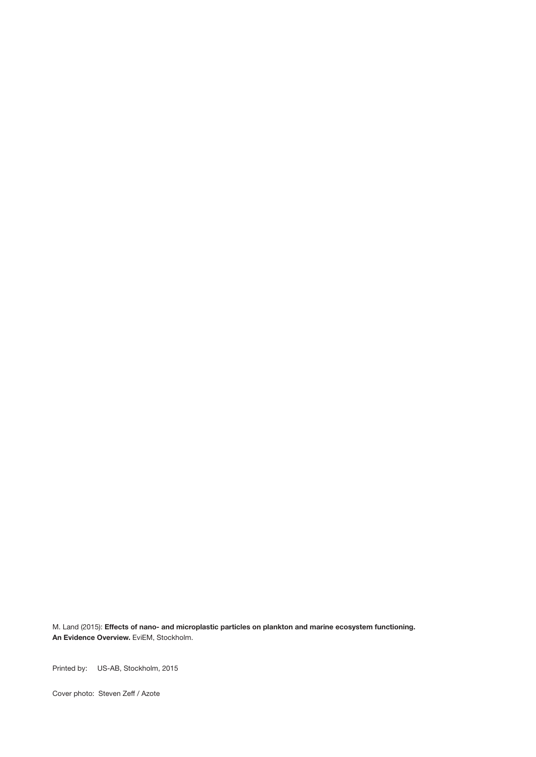M. Land (2015): **Effects of nano- and microplastic particles on plankton and marine ecosystem functioning. An Evidence Overview.** EviEM, Stockholm.

Printed by: US-AB, Stockholm, 2015

Cover photo: Steven Zeff / Azote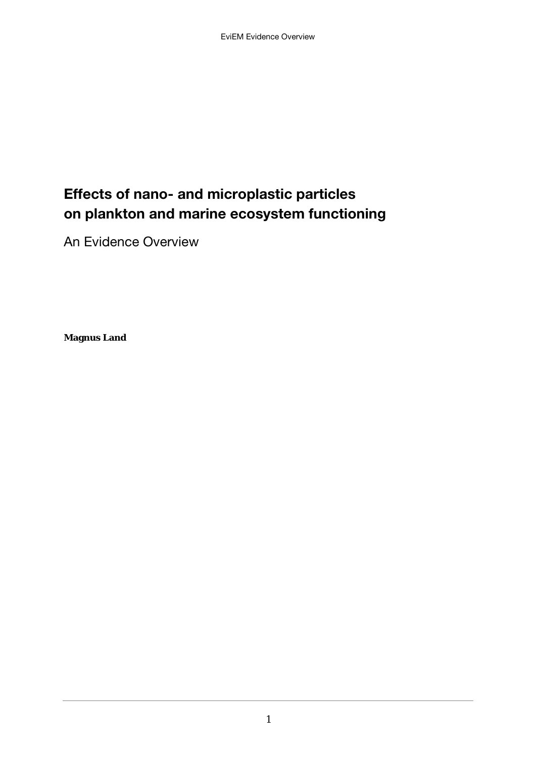# Effects of nano- and microplastic particles on plankton and marine ecosystem functioning

An Evidence Overview

**Magnus Land**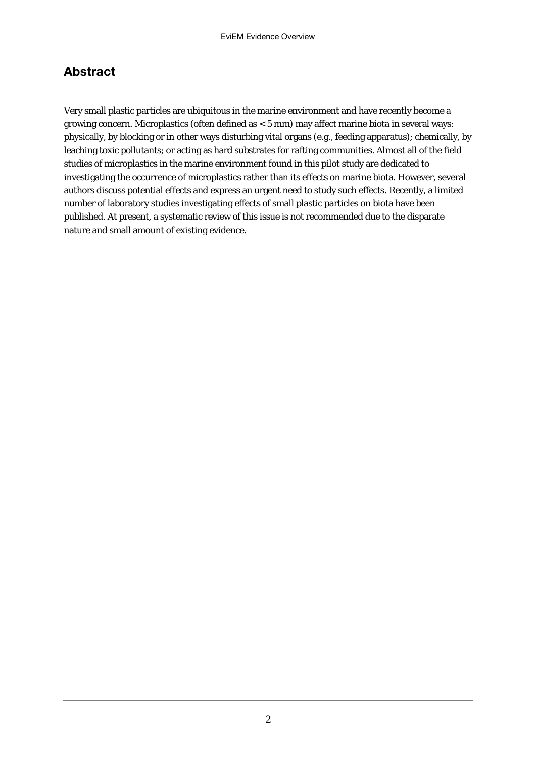#### Abstract

Very small plastic particles are ubiquitous in the marine environment and have recently become a growing concern. Microplastics (often defined as < 5 mm) may affect marine biota in several ways: physically, by blocking or in other ways disturbing vital organs (e.g., feeding apparatus); chemically, by leaching toxic pollutants; or acting as hard substrates for rafting communities. Almost all of the field studies of microplastics in the marine environment found in this pilot study are dedicated to investigating the occurrence of microplastics rather than its effects on marine biota. However, several authors discuss potential effects and express an urgent need to study such effects. Recently, a limited number of laboratory studies investigating effects of small plastic particles on biota have been published. At present, a systematic review of this issue is not recommended due to the disparate nature and small amount of existing evidence.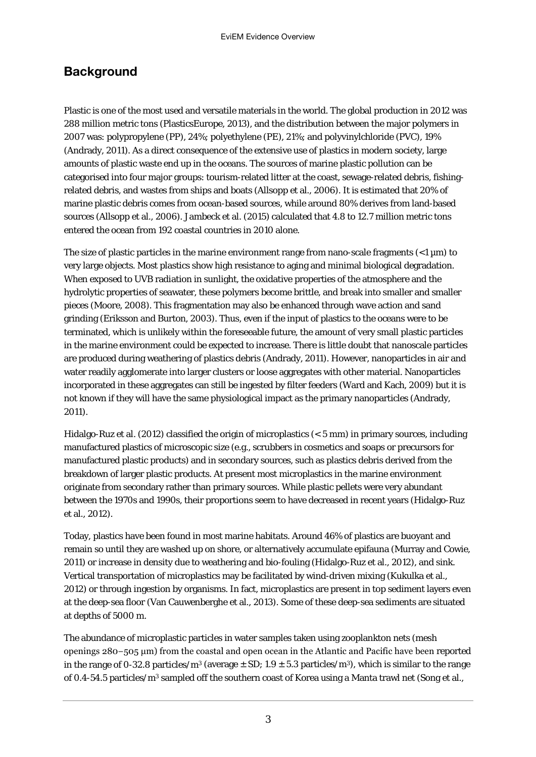#### **Background**

Plastic is one of the most used and versatile materials in the world. The global production in 2012 was 288 million metric tons (PlasticsEurope, 2013), and the distribution between the major polymers in 2007 was: polypropylene (PP), 24%; polyethylene (PE), 21%; and polyvinylchloride (PVC), 19% (Andrady, 2011). As a direct consequence of the extensive use of plastics in modern society, large amounts of plastic waste end up in the oceans. The sources of marine plastic pollution can be categorised into four major groups: tourism-related litter at the coast, sewage-related debris, fishingrelated debris, and wastes from ships and boats (Allsopp et al., 2006). It is estimated that 20% of marine plastic debris comes from ocean-based sources, while around 80% derives from land-based sources (Allsopp et al., 2006). Jambeck et al. (2015) calculated that 4.8 to 12.7 million metric tons entered the ocean from 192 coastal countries in 2010 alone.

The size of plastic particles in the marine environment range from nano-scale fragments  $\left($   $\lt$  1  $\text{µm}$ ) to very large objects. Most plastics show high resistance to aging and minimal biological degradation. When exposed to UVB radiation in sunlight, the oxidative properties of the atmosphere and the hydrolytic properties of seawater, these polymers become brittle, and break into smaller and smaller pieces (Moore, 2008). This fragmentation may also be enhanced through wave action and sand grinding (Eriksson and Burton, 2003). Thus, even if the input of plastics to the oceans were to be terminated, which is unlikely within the foreseeable future, the amount of very small plastic particles in the marine environment could be expected to increase. There is little doubt that nanoscale particles are produced during weathering of plastics debris (Andrady, 2011). However, nanoparticles in air and water readily agglomerate into larger clusters or loose aggregates with other material. Nanoparticles incorporated in these aggregates can still be ingested by filter feeders (Ward and Kach, 2009) but it is not known if they will have the same physiological impact as the primary nanoparticles (Andrady, 2011).

Hidalgo-Ruz et al. (2012) classified the origin of microplastics (< 5 mm) in primary sources, including manufactured plastics of microscopic size (e.g., scrubbers in cosmetics and soaps or precursors for manufactured plastic products) and in secondary sources, such as plastics debris derived from the breakdown of larger plastic products. At present most microplastics in the marine environment originate from secondary rather than primary sources. While plastic pellets were very abundant between the 1970s and 1990s, their proportions seem to have decreased in recent years (Hidalgo-Ruz et al., 2012).

Today, plastics have been found in most marine habitats. Around 46% of plastics are buoyant and remain so until they are washed up on shore, or alternatively accumulate epifauna (Murray and Cowie, 2011) or increase in density due to weathering and bio-fouling (Hidalgo-Ruz et al., 2012), and sink. Vertical transportation of microplastics may be facilitated by wind-driven mixing (Kukulka et al., 2012) or through ingestion by organisms. In fact, microplastics are present in top sediment layers even at the deep-sea floor (Van Cauwenberghe et al., 2013). Some of these deep-sea sediments are situated at depths of 5000 m.

The abundance of microplastic particles in water samples taken using zooplankton nets (mesh openings 280−505 μm) from the coastal and open ocean in the Atlantic and Pacific have been reported in the range of 0-32.8 particles/m<sup>3</sup> (average  $\pm$  SD; 1.9  $\pm$  5.3 particles/m<sup>3</sup>), which is similar to the range of 0.4-54.5 particles/m3 sampled off the southern coast of Korea using a Manta trawl net (Song et al.,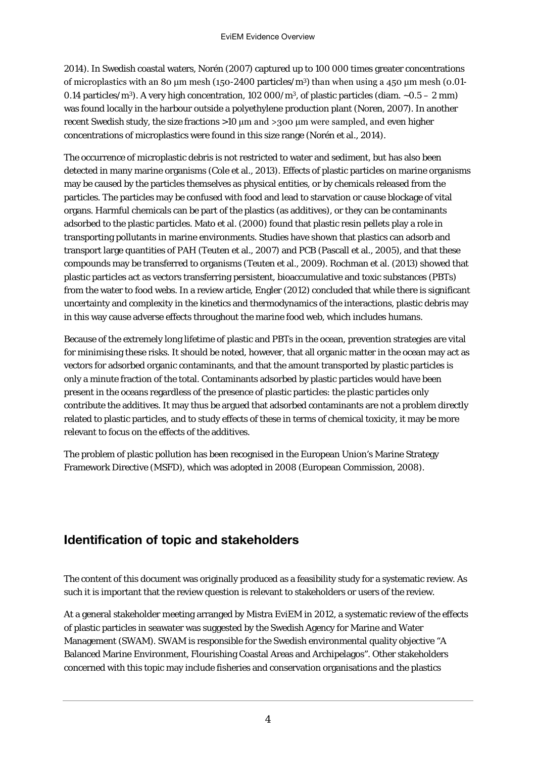2014). In Swedish coastal waters, Norén (2007) captured up to 100 000 times greater concentrations of microplastics with an 80 μm mesh (150-2400 particles/m<sup>3</sup>) than when using a 450 μm mesh (0.01-0.14 particles/m<sup>3</sup>). A very high concentration, 102 000/m<sup>3</sup>, of plastic particles (diam.  $\sim$ 0.5 – 2 mm) was found locally in the harbour outside a polyethylene production plant (Noren, 2007). In another recent Swedish study, the size fractions >10 μm and >300 μm were sampled, and even higher concentrations of microplastics were found in this size range (Norén et al., 2014).

The occurrence of microplastic debris is not restricted to water and sediment, but has also been detected in many marine organisms (Cole et al., 2013). Effects of plastic particles on marine organisms may be caused by the particles themselves as physical entities, or by chemicals released from the particles. The particles may be confused with food and lead to starvation or cause blockage of vital organs. Harmful chemicals can be part of the plastics (as additives), or they can be contaminants adsorbed to the plastic particles. Mato et al. (2000) found that plastic resin pellets play a role in transporting pollutants in marine environments. Studies have shown that plastics can adsorb and transport large quantities of PAH (Teuten et al., 2007) and PCB (Pascall et al., 2005), and that these compounds may be transferred to organisms (Teuten et al., 2009). Rochman et al. (2013) showed that plastic particles act as vectors transferring persistent, bioaccumulative and toxic substances (PBTs) from the water to food webs. In a review article, Engler (2012) concluded that while there is significant uncertainty and complexity in the kinetics and thermodynamics of the interactions, plastic debris may in this way cause adverse effects throughout the marine food web, which includes humans.

Because of the extremely long lifetime of plastic and PBTs in the ocean, prevention strategies are vital for minimising these risks. It should be noted, however, that all organic matter in the ocean may act as vectors for adsorbed organic contaminants, and that the amount transported by plastic particles is only a minute fraction of the total. Contaminants adsorbed by plastic particles would have been present in the oceans regardless of the presence of plastic particles: the plastic particles only contribute the additives. It may thus be argued that adsorbed contaminants are not a problem directly related to plastic particles, and to study effects of these in terms of chemical toxicity, it may be more relevant to focus on the effects of the additives.

The problem of plastic pollution has been recognised in the European Union's Marine Strategy Framework Directive (MSFD), which was adopted in 2008 (European Commission, 2008).

#### Identification of topic and stakeholders

The content of this document was originally produced as a feasibility study for a systematic review. As such it is important that the review question is relevant to stakeholders or users of the review.

At a general stakeholder meeting arranged by Mistra EviEM in 2012, a systematic review of the effects of plastic particles in seawater was suggested by the Swedish Agency for Marine and Water Management (SWAM). SWAM is responsible for the Swedish environmental quality objective "A Balanced Marine Environment, Flourishing Coastal Areas and Archipelagos". Other stakeholders concerned with this topic may include fisheries and conservation organisations and the plastics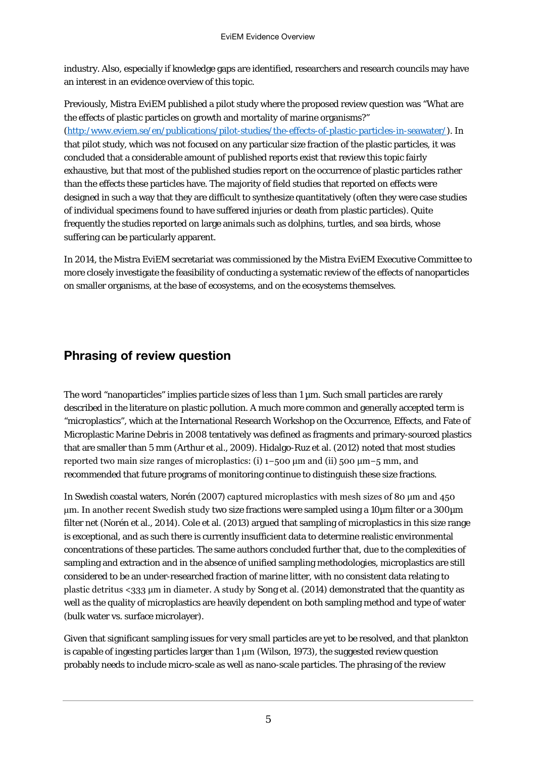industry. Also, especially if knowledge gaps are identified, researchers and research councils may have an interest in an evidence overview of this topic.

Previously, Mistra EviEM published a pilot study where the proposed review question was "What are the effects of plastic particles on growth and mortality of marine organisms?" [\(http:/www.eviem.se/en/publications/pilot-studies/the-effects-of-plastic-particles-in-seawater/\)](http://www.eviem.se/en/publications/pilot-studies/the-effects-of-plastic-particles-in-seawater/). In that pilot study, which was not focused on any particular size fraction of the plastic particles, it was concluded that a considerable amount of published reports exist that review this topic fairly exhaustive, but that most of the published studies report on the occurrence of plastic particles rather than the effects these particles have. The majority of field studies that reported on effects were designed in such a way that they are difficult to synthesize quantitatively (often they were case studies of individual specimens found to have suffered injuries or death from plastic particles). Quite frequently the studies reported on large animals such as dolphins, turtles, and sea birds, whose suffering can be particularly apparent.

In 2014, the Mistra EviEM secretariat was commissioned by the Mistra EviEM Executive Committee to more closely investigate the feasibility of conducting a systematic review of the effects of nanoparticles on smaller organisms, at the base of ecosystems, and on the ecosystems themselves.

#### Phrasing of review question

The word "nanoparticles" implies particle sizes of less than  $1 \mu m$ . Such small particles are rarely described in the literature on plastic pollution. A much more common and generally accepted term is "microplastics", which at the International Research Workshop on the Occurrence, Effects, and Fate of Microplastic Marine Debris in 2008 tentatively was defined as fragments and primary-sourced plastics that are smaller than 5 mm (Arthur et al., 2009). Hidalgo-Ruz et al. (2012) noted that most studies reported two main size ranges of microplastics: (i) 1−500 μm and (ii) 500 μm−5 mm, and recommended that future programs of monitoring continue to distinguish these size fractions.

In Swedish coastal waters, Norén (2007) captured microplastics with mesh sizes of 80 μm and 450 μm. In another recent Swedish study two size fractions were sampled using a 10µm filter or a 300µm filter net (Norén et al., 2014). Cole et al. (2013) argued that sampling of microplastics in this size range is exceptional, and as such there is currently insufficient data to determine realistic environmental concentrations of these particles. The same authors concluded further that, due to the complexities of sampling and extraction and in the absence of unified sampling methodologies, microplastics are still considered to be an under-researched fraction of marine litter, with no consistent data relating to plastic detritus <333 μm in diameter. A study by Song et al. (2014) demonstrated that the quantity as well as the quality of microplastics are heavily dependent on both sampling method and type of water (bulk water vs*.* surface microlayer).

Given that significant sampling issues for very small particles are yet to be resolved, and that plankton is capable of ingesting particles larger than  $1 \mu m$  (Wilson, 1973), the suggested review question probably needs to include micro-scale as well as nano-scale particles. The phrasing of the review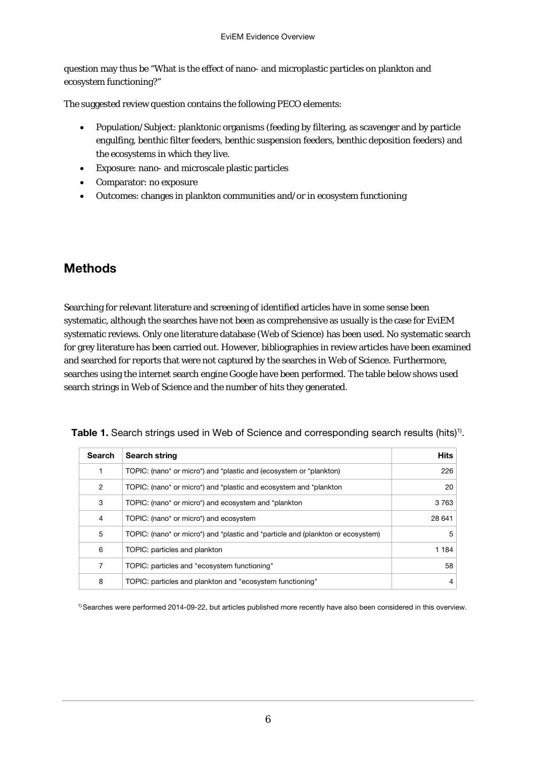question may thus be "What is the effect of nano- and microplastic particles on plankton and ecosystem functioning?"

The suggested review question contains the following PECO elements:

- Population/Subject: planktonic organisms (feeding by filtering, as scavenger and by particle engulfing, benthic filter feeders, benthic suspension feeders, benthic deposition feeders) and the ecosystems in which they live.
- Exposure: nano- and microscale plastic particles
- Comparator: no exposure
- Outcomes: changes in plankton communities and/or in ecosystem functioning

#### Methods

Searching for relevant literature and screening of identified articles have in some sense been systematic, although the searches have not been as comprehensive as usually is the case for EviEM systematic reviews. Only one literature database (Web of Science) has been used. No systematic search for grey literature has been carried out. However, bibliographies in review articles have been examined and searched for reports that were not captured by the searches in Web of Science. Furthermore, searches using the internet search engine Google have been performed. The table below shows used search strings in Web of Science and the number of hits they generated.

| <b>Search</b>  | <b>Search string</b>                                                            | <b>Hits</b> |
|----------------|---------------------------------------------------------------------------------|-------------|
|                | TOPIC: (nano* or micro*) and *plastic and (ecosystem or *plankton)              | 226         |
| $\overline{2}$ | TOPIC: (nano* or micro*) and *plastic and ecosystem and *plankton               | 20          |
| 3              | TOPIC: (nano* or micro*) and ecosystem and *plankton                            | 3 7 6 3     |
| 4              | TOPIC: (nano* or micro*) and ecosystem                                          | 28 641      |
| 5              | TOPIC: (nano* or micro*) and *plastic and *particle and (plankton or ecosystem) | 5           |
| 6              | TOPIC: particles and plankton                                                   | 1 1 8 4     |
| 7              | TOPIC: particles and "ecosystem functioning"                                    | 58          |
| 8              | TOPIC: particles and plankton and "ecosystem functioning"                       | 4           |

Table 1. Search strings used in Web of Science and corresponding search results (hits)<sup>1)</sup>.

1) Searches were performed 2014-09-22, but articles published more recently have also been considered in this overview.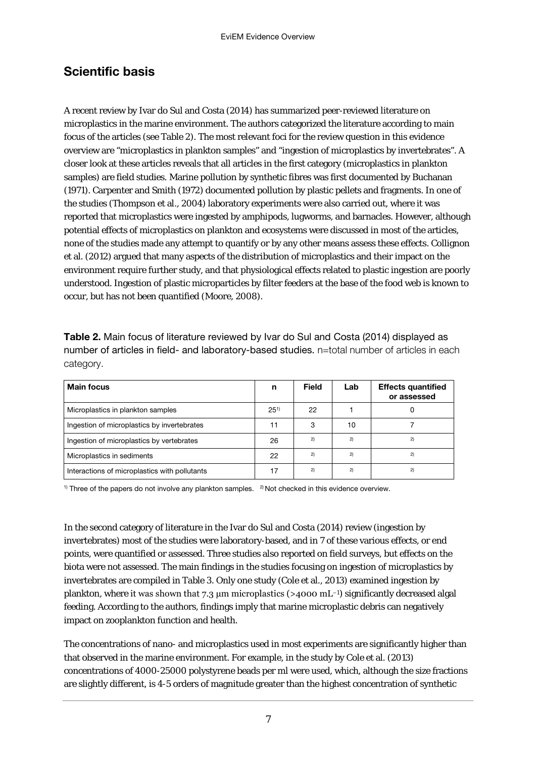#### Scientific basis

A recent review by Ivar do Sul and Costa (2014) has summarized peer-reviewed literature on microplastics in the marine environment. The authors categorized the literature according to main focus of the articles (see Table 2). The most relevant foci for the review question in this evidence overview are "microplastics in plankton samples" and "ingestion of microplastics by invertebrates". A closer look at these articles reveals that all articles in the first category (microplastics in plankton samples) are field studies. Marine pollution by synthetic fibres was first documented by Buchanan (1971). Carpenter and Smith (1972) documented pollution by plastic pellets and fragments. In one of the studies (Thompson et al., 2004) laboratory experiments were also carried out, where it was reported that microplastics were ingested by amphipods, lugworms, and barnacles. However, although potential effects of microplastics on plankton and ecosystems were discussed in most of the articles, none of the studies made any attempt to quantify or by any other means assess these effects. Collignon et al. (2012) argued that many aspects of the distribution of microplastics and their impact on the environment require further study, and that physiological effects related to plastic ingestion are poorly understood. Ingestion of plastic microparticles by filter feeders at the base of the food web is known to occur, but has not been quantified (Moore, 2008).

Table 2. Main focus of literature reviewed by Ivar do Sul and Costa (2014) displayed as number of articles in field- and laboratory-based studies. n=total number of articles in each category.

| <b>Main focus</b>                             | n        | <b>Field</b> | Lab | <b>Effects quantified</b><br>or assessed |
|-----------------------------------------------|----------|--------------|-----|------------------------------------------|
| Microplastics in plankton samples             | $25^{1}$ | 22           |     |                                          |
| Ingestion of microplastics by invertebrates   | 11       | 3            | 10  |                                          |
| Ingestion of microplastics by vertebrates     | 26       | 2)           | 2)  | 2)                                       |
| Microplastics in sediments                    | 22       | 2)           | 2)  | 2)                                       |
| Interactions of microplastics with pollutants | 17       | 2)           | 2)  | 2)                                       |

<sup>1)</sup> Three of the papers do not involve any plankton samples. <sup>2</sup>) Not checked in this evidence overview.

In the second category of literature in the Ivar do Sul and Costa (2014) review (ingestion by invertebrates) most of the studies were laboratory-based, and in 7 of these various effects, or end points, were quantified or assessed. Three studies also reported on field surveys, but effects on the biota were not assessed. The main findings in the studies focusing on ingestion of microplastics by invertebrates are compiled in Table 3. Only one study (Cole et al., 2013) examined ingestion by plankton, where it was shown that 7.3 μm microplastics (>4000 mL−1) significantly decreased algal feeding. According to the authors, findings imply that marine microplastic debris can negatively impact on zooplankton function and health.

The concentrations of nano- and microplastics used in most experiments are significantly higher than that observed in the marine environment. For example, in the study by Cole et al. (2013) concentrations of 4000-25000 polystyrene beads per ml were used, which, although the size fractions are slightly different, is 4-5 orders of magnitude greater than the highest concentration of synthetic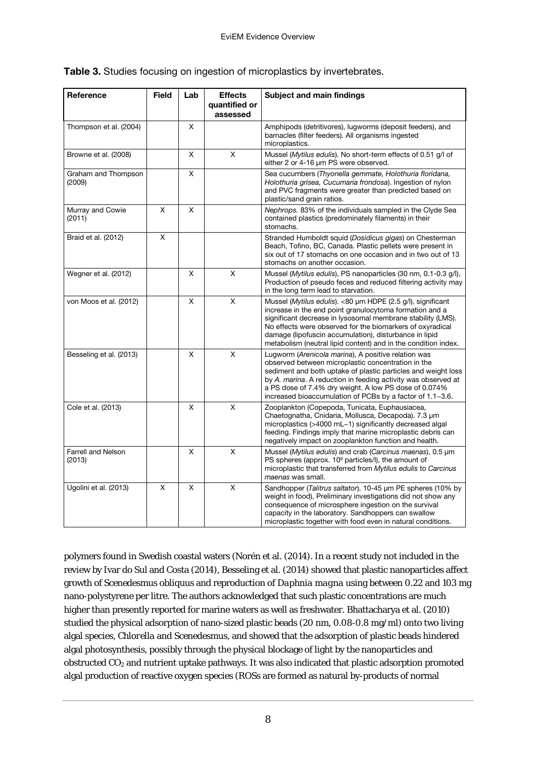|  |  |  | Table 3. Studies focusing on ingestion of microplastics by invertebrates. |
|--|--|--|---------------------------------------------------------------------------|

| Reference                           | <b>Field</b> | Lab | <b>Effects</b><br>quantified or<br>assessed | <b>Subject and main findings</b>                                                                                                                                                                                                                                                                                                                                               |
|-------------------------------------|--------------|-----|---------------------------------------------|--------------------------------------------------------------------------------------------------------------------------------------------------------------------------------------------------------------------------------------------------------------------------------------------------------------------------------------------------------------------------------|
| Thompson et al. (2004)              |              | X   |                                             | Amphipods (detritivores), lugworms (deposit feeders), and<br>barnacles (filter feeders). All organisms ingested<br>microplastics.                                                                                                                                                                                                                                              |
| Browne et al. (2008)                |              | X   | $\overline{X}$                              | Mussel (Mytilus edulis). No short-term effects of 0.51 g/l of<br>either 2 or 4-16 um PS were observed.                                                                                                                                                                                                                                                                         |
| Graham and Thompson<br>(2009)       |              | X   |                                             | Sea cucumbers (Thyonella gemmate, Holothuria floridana,<br>Holothuria grisea, Cucumaria frondosa). Ingestion of nylon<br>and PVC fragments were greater than predicted based on<br>plastic/sand grain ratios.                                                                                                                                                                  |
| Murray and Cowie<br>(2011)          | X            | X   |                                             | Nephrops. 83% of the individuals sampled in the Clyde Sea<br>contained plastics (predominately filaments) in their<br>stomachs.                                                                                                                                                                                                                                                |
| Braid et al. (2012)                 | X            |     |                                             | Stranded Humboldt squid (Dosidicus gigas) on Chesterman<br>Beach, Tofino, BC, Canada. Plastic pellets were present in<br>six out of 17 stomachs on one occasion and in two out of 13<br>stomachs on another occasion.                                                                                                                                                          |
| Wegner et al. (2012)                |              | Χ   | X                                           | Mussel (Mytilus edulis), PS nanoparticles (30 nm, 0.1-0.3 g/l),<br>Production of pseudo feces and reduced filtering activity may<br>in the long term lead to starvation.                                                                                                                                                                                                       |
| von Moos et al. (2012)              |              | X   | X                                           | Mussel (Mytilus edulis). <80 µm HDPE (2.5 g/l), significant<br>increase in the end point granulocytoma formation and a<br>significant decrease in lysosomal membrane stability (LMS).<br>No effects were observed for the biomarkers of oxyradical<br>damage (lipofuscin accumulation), disturbance in lipid<br>metabolism (neutral lipid content) and in the condition index. |
| Besseling et al. (2013)             |              | X   | $\mathsf{x}$                                | Lugworm (Arenicola marina), A positive relation was<br>observed between microplastic concentration in the<br>sediment and both uptake of plastic particles and weight loss<br>by A. marina. A reduction in feeding activity was observed at<br>a PS dose of 7.4% dry weight. A low PS dose of 0.074%<br>increased bioaccumulation of PCBs by a factor of 1.1-3.6.              |
| Cole et al. (2013)                  |              | X   | $\overline{X}$                              | Zooplankton (Copepoda, Tunicata, Euphausiacea,<br>Chaetognatha, Cnidaria, Mollusca, Decapoda). 7.3 µm<br>microplastics (>4000 mL-1) significantly decreased algal<br>feeding. Findings imply that marine microplastic debris can<br>negatively impact on zooplankton function and health.                                                                                      |
| <b>Farrell and Nelson</b><br>(2013) |              | X   | X                                           | Mussel (Mytilus edulis) and crab (Carcinus maenas), 0.5 um<br>PS spheres (approx. $10^9$ particles/I), the amount of<br>microplastic that transferred from Mytilus edulis to Carcinus<br>maenas was small.                                                                                                                                                                     |
| Ugolini et al. (2013)               | X            | X   | $\overline{\mathsf{x}}$                     | Sandhopper (Talitrus saltator), 10-45 µm PE spheres (10% by<br>weight in food), Preliminary investigations did not show any<br>consequence of microsphere ingestion on the survival<br>capacity in the laboratory. Sandhoppers can swallow<br>microplastic together with food even in natural conditions.                                                                      |

polymers found in Swedish coastal waters (Norén et al. (2014). In a recent study not included in the review by Ivar do Sul and Costa (2014), Besseling et al. (2014) showed that plastic nanoparticles affect growth of *Scenedesmus obliquus* and reproduction of *Daphnia magna* using between 0.22 and 103 mg nano-polystyrene per litre. The authors acknowledged that such plastic concentrations are much higher than presently reported for marine waters as well as freshwater. Bhattacharya et al. (2010) studied the physical adsorption of nano-sized plastic beads (20 nm, 0.08-0.8 mg/ml) onto two living algal species, *Chlorella* and *Scenedesmus*, and showed that the adsorption of plastic beads hindered algal photosynthesis, possibly through the physical blockage of light by the nanoparticles and obstructed CO2 and nutrient uptake pathways. It was also indicated that plastic adsorption promoted algal production of reactive oxygen species (ROSs are formed as natural by-products of normal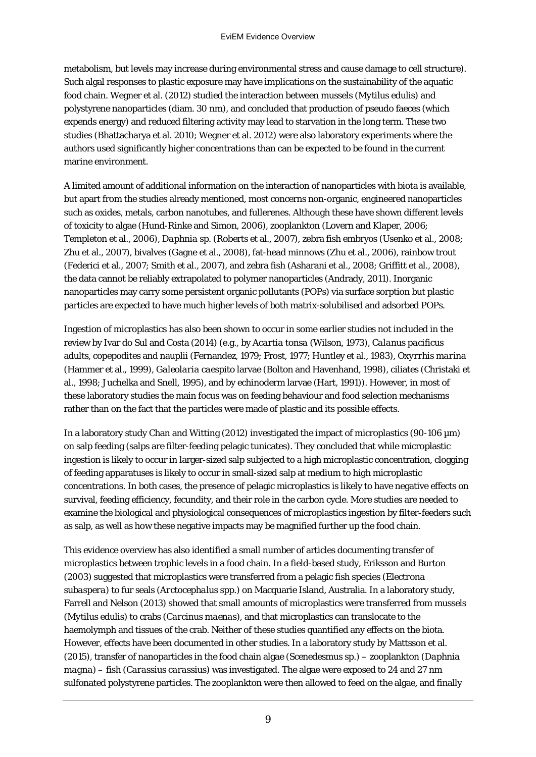metabolism, but levels may increase during environmental stress and cause damage to cell structure). Such algal responses to plastic exposure may have implications on the sustainability of the aquatic food chain. Wegner et al. (2012) studied the interaction between mussels (*Mytilus edulis*) and polystyrene nanoparticles (diam. 30 nm), and concluded that production of pseudo faeces (which expends energy) and reduced filtering activity may lead to starvation in the long term. These two studies (Bhattacharya et al. 2010; Wegner et al. 2012) were also laboratory experiments where the authors used significantly higher concentrations than can be expected to be found in the current marine environment.

A limited amount of additional information on the interaction of nanoparticles with biota is available, but apart from the studies already mentioned, most concerns non-organic, engineered nanoparticles such as oxides, metals, carbon nanotubes, and fullerenes. Although these have shown different levels of toxicity to algae (Hund-Rinke and Simon, 2006), zooplankton (Lovern and Klaper, 2006; Templeton et al., 2006), *Daphnia* sp. (Roberts et al., 2007), zebra fish embryos (Usenko et al., 2008; Zhu et al., 2007), bivalves (Gagne et al., 2008), fat-head minnows (Zhu et al., 2006), rainbow trout (Federici et al., 2007; Smith et al., 2007), and zebra fish (Asharani et al., 2008; Griffitt et al., 2008), the data cannot be reliably extrapolated to polymer nanoparticles (Andrady, 2011). Inorganic nanoparticles may carry some persistent organic pollutants (POPs) via surface sorption but plastic particles are expected to have much higher levels of both matrix-solubilised and adsorbed POPs.

Ingestion of microplastics has also been shown to occur in some earlier studies not included in the review by Ivar do Sul and Costa (2014) (e.g., by *Acartia tonsa* (Wilson, 1973), *Calanus pacificus* adults, copepodites and nauplii (Fernandez, 1979; Frost, 1977; Huntley et al., 1983), *Oxyrrhis marina* (Hammer et al., 1999), *Galeolaria caespito* larvae (Bolton and Havenhand, 1998), ciliates (Christaki et al., 1998; Juchelka and Snell, 1995), and by echinoderm larvae (Hart, 1991)). However, in most of these laboratory studies the main focus was on feeding behaviour and food selection mechanisms rather than on the fact that the particles were made of plastic and its possible effects.

In a laboratory study Chan and Witting (2012) investigated the impact of microplastics (90-106 µm) on salp feeding (salps are filter-feeding pelagic tunicates). They concluded that while microplastic ingestion is likely to occur in larger-sized salp subjected to a high microplastic concentration, clogging of feeding apparatuses is likely to occur in small-sized salp at medium to high microplastic concentrations. In both cases, the presence of pelagic microplastics is likely to have negative effects on survival, feeding efficiency, fecundity, and their role in the carbon cycle. More studies are needed to examine the biological and physiological consequences of microplastics ingestion by filter-feeders such as salp, as well as how these negative impacts may be magnified further up the food chain.

This evidence overview has also identified a small number of articles documenting transfer of microplastics between trophic levels in a food chain. In a field-based study, Eriksson and Burton (2003) suggested that microplastics were transferred from a pelagic fish species (*Electrona subaspera*) to fur seals (*Arctocephalus* spp.) on Macquarie Island, Australia. In a laboratory study, Farrell and Nelson (2013) showed that small amounts of microplastics were transferred from mussels (*Mytilus edulis*) to crabs (*Carcinus maenas*), and that microplastics can translocate to the haemolymph and tissues of the crab. Neither of these studies quantified any effects on the biota. However, effects have been documented in other studies. In a laboratory study by Mattsson et al. (2015), transfer of nanoparticles in the food chain algae (*Scenedesmus* sp.) – zooplankton (*Daphnia magna*) – fish (*Carassius carassius*) was investigated. The algae were exposed to 24 and 27 nm sulfonated polystyrene particles. The zooplankton were then allowed to feed on the algae, and finally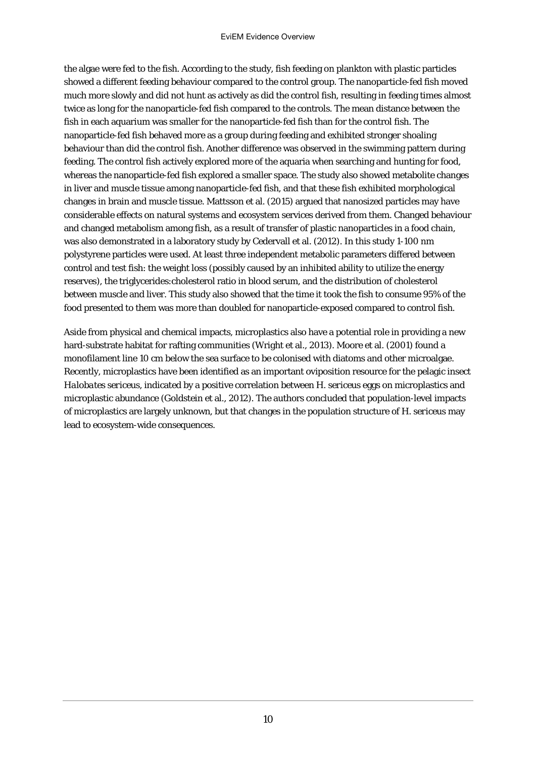the algae were fed to the fish. According to the study, fish feeding on plankton with plastic particles showed a different feeding behaviour compared to the control group. The nanoparticle-fed fish moved much more slowly and did not hunt as actively as did the control fish, resulting in feeding times almost twice as long for the nanoparticle-fed fish compared to the controls. The mean distance between the fish in each aquarium was smaller for the nanoparticle-fed fish than for the control fish. The nanoparticle-fed fish behaved more as a group during feeding and exhibited stronger shoaling behaviour than did the control fish. Another difference was observed in the swimming pattern during feeding. The control fish actively explored more of the aquaria when searching and hunting for food, whereas the nanoparticle-fed fish explored a smaller space. The study also showed metabolite changes in liver and muscle tissue among nanoparticle-fed fish, and that these fish exhibited morphological changes in brain and muscle tissue. Mattsson et al. (2015) argued that nanosized particles may have considerable effects on natural systems and ecosystem services derived from them. Changed behaviour and changed metabolism among fish, as a result of transfer of plastic nanoparticles in a food chain, was also demonstrated in a laboratory study by Cedervall et al. (2012). In this study 1-100 nm polystyrene particles were used. At least three independent metabolic parameters differed between control and test fish: the weight loss (possibly caused by an inhibited ability to utilize the energy reserves), the triglycerides:cholesterol ratio in blood serum, and the distribution of cholesterol between muscle and liver. This study also showed that the time it took the fish to consume 95% of the food presented to them was more than doubled for nanoparticle-exposed compared to control fish.

Aside from physical and chemical impacts, microplastics also have a potential role in providing a new hard-substrate habitat for rafting communities (Wright et al., 2013). Moore et al. (2001) found a monofilament line 10 cm below the sea surface to be colonised with diatoms and other microalgae. Recently, microplastics have been identified as an important oviposition resource for the pelagic insect *Halobates sericeus*, indicated by a positive correlation between *H. sericeus* eggs on microplastics and microplastic abundance (Goldstein et al., 2012). The authors concluded that population-level impacts of microplastics are largely unknown, but that changes in the population structure of *H. sericeus* may lead to ecosystem-wide consequences.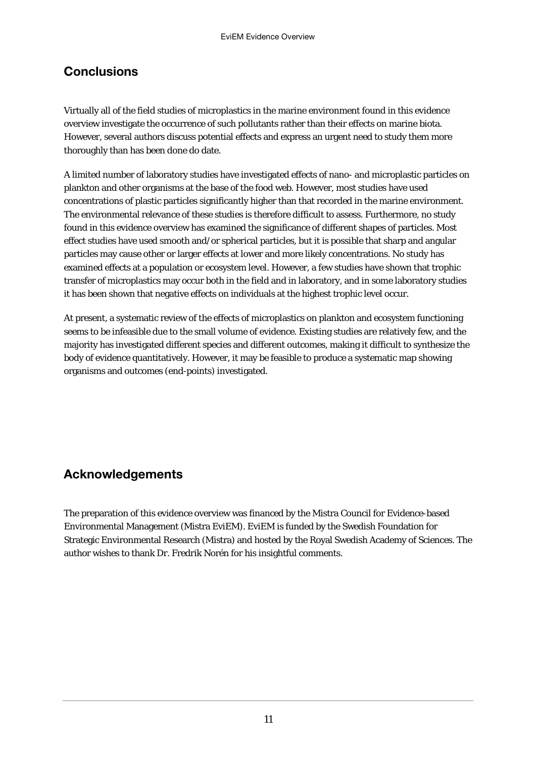#### **Conclusions**

Virtually all of the field studies of microplastics in the marine environment found in this evidence overview investigate the occurrence of such pollutants rather than their effects on marine biota. However, several authors discuss potential effects and express an urgent need to study them more thoroughly than has been done do date.

A limited number of laboratory studies have investigated effects of nano- and microplastic particles on plankton and other organisms at the base of the food web. However, most studies have used concentrations of plastic particles significantly higher than that recorded in the marine environment. The environmental relevance of these studies is therefore difficult to assess. Furthermore, no study found in this evidence overview has examined the significance of different shapes of particles. Most effect studies have used smooth and/or spherical particles, but it is possible that sharp and angular particles may cause other or larger effects at lower and more likely concentrations. No study has examined effects at a population or ecosystem level. However, a few studies have shown that trophic transfer of microplastics may occur both in the field and in laboratory, and in some laboratory studies it has been shown that negative effects on individuals at the highest trophic level occur.

At present, a systematic review of the effects of microplastics on plankton and ecosystem functioning seems to be infeasible due to the small volume of evidence. Existing studies are relatively few, and the majority has investigated different species and different outcomes, making it difficult to synthesize the body of evidence quantitatively. However, it may be feasible to produce a systematic map showing organisms and outcomes (end-points) investigated.

#### Acknowledgements

The preparation of this evidence overview was financed by the Mistra Council for Evidence-based Environmental Management (Mistra EviEM). EviEM is funded by the Swedish Foundation for Strategic Environmental Research (Mistra) and hosted by the Royal Swedish Academy of Sciences. The author wishes to thank Dr. Fredrik Norén for his insightful comments.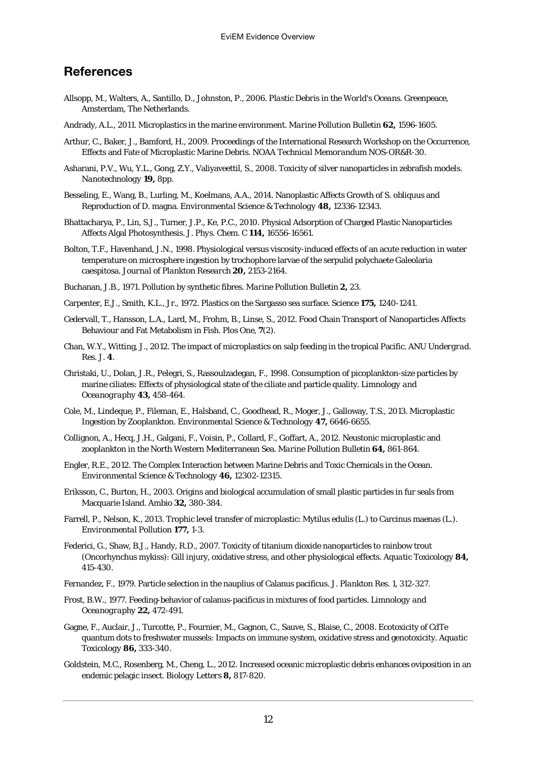#### References

- Allsopp, M., Walters, A., Santillo, D., Johnston, P., 2006. *Plastic Debris in the World's Ocean*s. Greenpeace, Amsterdam, The Netherlands.
- Andrady, A.L., 2011. Microplastics in the marine environment. *Marine Pollution Bulletin* **62,** 1596-1605.
- Arthur, C., Baker, J., Bamford, H., 2009. Proceedings of the International Research Workshop on the Occurrence, Effects and Fate of Microplastic Marine Debris. *NOAA Technical Memorandum* NOS-OR&R-30.
- Asharani, P.V., Wu, Y.L., Gong, Z.Y., Valiyaveettil, S., 2008. Toxicity of silver nanoparticles in zebrafish models. *Nanotechnology* **19,** 8pp.
- Besseling, E., Wang, B., Lurling, M., Koelmans, A.A., 2014. Nanoplastic Affects Growth of S. obliquus and Reproduction of D. magna. *Environmental Science & Technology* **48,** 12336-12343.
- Bhattacharya, P., Lin, S.J., Turner, J.P., Ke, P.C., 2010. Physical Adsorption of Charged Plastic Nanoparticles Affects Algal Photosynthesis. *J. Phys. Chem. C* **114,** 16556-16561.
- Bolton, T.F., Havenhand, J.N., 1998. Physiological versus viscosity-induced effects of an acute reduction in water temperature on microsphere ingestion by trochophore larvae of the serpulid polychaete Galeolaria caespitosa. *Journal of Plankton Research* **20,** 2153-2164.
- Buchanan, J.B., 1971. Pollution by synthetic fibres. *Marine Pollution Bulletin* **2,** 23.
- Carpenter, E.J., Smith, K.L., Jr., 1972. Plastics on the Sargasso sea surface. *Science* **175,** 1240-1241.
- Cedervall, T., Hansson, L.A., Lard, M., Frohm, B., Linse, S., 2012. Food Chain Transport of Nanoparticles Affects Behaviour and Fat Metabolism in Fish. *Plos One,* **7**(2).
- Chan, W.Y., Witting, J., 2012. The impact of microplastics on salp feeding in the tropical Pacific. *ANU Undergrad. Res. J.* **4**.
- Christaki, U., Dolan, J.R., Pelegri, S., Rassoulzadegan, F., 1998. Consumption of picoplankton-size particles by marine ciliates: Effects of physiological state of the ciliate and particle quality. *Limnology and Oceanography* **43,** 458-464.
- Cole, M., Lindeque, P., Fileman, E., Halsband, C., Goodhead, R., Moger, J., Galloway, T.S., 2013. Microplastic Ingestion by Zooplankton. *Environmental Science & Technology* **47,** 6646-6655.
- Collignon, A., Hecq, J.H., Galgani, F., Voisin, P., Collard, F., Goffart, A., 2012. Neustonic microplastic and zooplankton in the North Western Mediterranean Sea. *Marine Pollution Bulletin* **64,** 861-864.
- Engler, R.E., 2012. The Complex Interaction between Marine Debris and Toxic Chemicals in the Ocean. *Environmental Science & Technology* **46,** 12302-12315.
- Eriksson, C., Burton, H., 2003. Origins and biological accumulation of small plastic particles in fur seals from Macquarie Island. *Ambio* **32,** 380-384.
- Farrell, P., Nelson, K., 2013. Trophic level transfer of microplastic: Mytilus edulis (L.) to Carcinus maenas (L.). *Environmental Pollution* **177,** 1-3.
- Federici, G., Shaw, B.J., Handy, R.D., 2007. Toxicity of titanium dioxide nanoparticles to rainbow trout (Oncorhynchus mykiss): Gill injury, oxidative stress, and other physiological effects. *Aquatic Toxicology* **84,** 415-430.
- Fernandez, F., 1979. Particle selection in the nauplius of Calanus pacificus. *J. Plankton Res.* 1, 312-327.
- Frost, B.W., 1977. Feeding-behavior of calanus-pacificus in mixtures of food particles. *Limnology and Oceanography* **22,** 472-491.
- Gagne, F., Auclair, J., Turcotte, P., Fournier, M., Gagnon, C., Sauve, S., Blaise, C., 2008. Ecotoxicity of CdTe quantum dots to freshwater mussels: Impacts on immune system, oxidative stress and genotoxicity. *Aquatic Toxicology* **86,** 333-340.
- Goldstein, M.C., Rosenberg, M., Cheng, L., 2012. Increased oceanic microplastic debris enhances oviposition in an endemic pelagic insect. *Biology Letters* **8,** 817-820.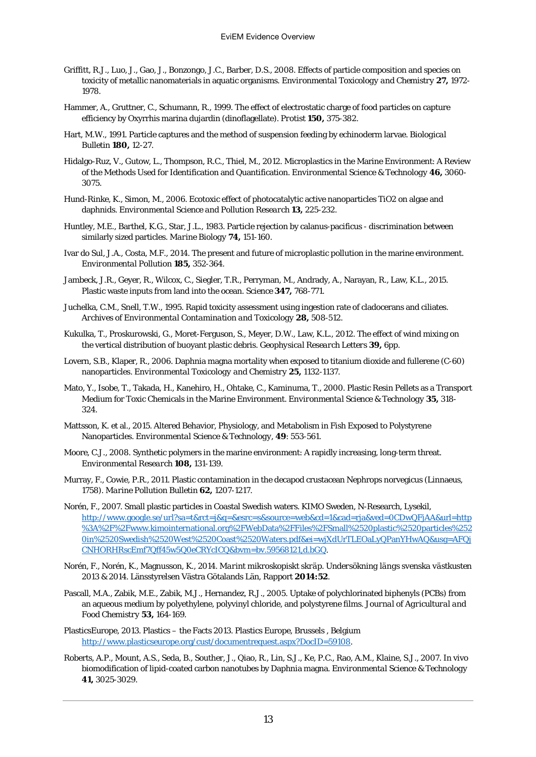- Griffitt, R.J., Luo, J., Gao, J., Bonzongo, J.C., Barber, D.S., 2008. Effects of particle composition and species on toxicity of metallic nanomaterials in aquatic organisms. *Environmental Toxicology and Chemistry* **27,** 1972- 1978.
- Hammer, A., Gruttner, C., Schumann, R., 1999. The effect of electrostatic charge of food particles on capture efficiency by Oxyrrhis marina dujardin (dinoflagellate). *Protist* **150,** 375-382.
- Hart, M.W., 1991. Particle captures and the method of suspension feeding by echinoderm larvae. *Biological Bulletin* **180,** 12-27.
- Hidalgo-Ruz, V., Gutow, L., Thompson, R.C., Thiel, M., 2012. Microplastics in the Marine Environment: A Review of the Methods Used for Identification and Quantification. *Environmental Science & Technology* **46,** 3060- 3075.
- Hund-Rinke, K., Simon, M., 2006. Ecotoxic effect of photocatalytic active nanoparticles TiO2 on algae and daphnids. *Environmental Science and Pollution Research* **13,** 225-232.
- Huntley, M.E., Barthel, K.G., Star, J.L., 1983. Particle rejection by calanus-pacificus discrimination between similarly sized particles. *Marine Biology* **74,** 151-160.
- Ivar do Sul, J.A., Costa, M.F., 2014. The present and future of microplastic pollution in the marine environment. *Environmental Pollution* **185,** 352-364.
- Jambeck, J.R., Geyer, R., Wilcox, C., Siegler, T.R., Perryman, M., Andrady, A., Narayan, R., Law, K.L., 2015. Plastic waste inputs from land into the ocean. *Science* **347,** 768-771.
- Juchelka, C.M., Snell, T.W., 1995. Rapid toxicity assessment using ingestion rate of cladocerans and ciliates. *Archives of Environmental Contamination and Toxicology* **28,** 508-512.
- Kukulka, T., Proskurowski, G., Moret-Ferguson, S., Meyer, D.W., Law, K.L., 2012. The effect of wind mixing on the vertical distribution of buoyant plastic debris. *Geophysical Research Letters* **39,** 6pp.
- Lovern, S.B., Klaper, R., 2006. Daphnia magna mortality when exposed to titanium dioxide and fullerene (C-60) nanoparticles. *Environmental Toxicology and Chemistry* **25,** 1132-1137.
- Mato, Y., Isobe, T., Takada, H., Kanehiro, H., Ohtake, C., Kaminuma, T., 2000. Plastic Resin Pellets as a Transport Medium for Toxic Chemicals in the Marine Environment. *Environmental Science & Technology* **35,** 318- 324.
- Mattsson, K. et al., 2015. Altered Behavior, Physiology, and Metabolism in Fish Exposed to Polystyrene Nanoparticles. *Environmental Science & Technology,* **49**: 553-561.
- Moore, C.J., 2008. Synthetic polymers in the marine environment: A rapidly increasing, long-term threat. *Environmental Research* **108,** 131-139.
- Murray, F., Cowie, P.R., 2011. Plastic contamination in the decapod crustacean Nephrops norvegicus (Linnaeus, 1758). *Marine Pollution Bulletin* **62,** 1207-1217.
- Norén, F., 2007. Small plastic particles in Coastal Swedish waters. KIMO Sweden, N-Research, Lysekil, http://www.google.se/url?sa=t&rct=j&q=&esrc=s&source=web&cd=1&cad=rja&ved=0CDwQFjAA&url=http %3A%2F%2Fwww.kimointernational.org%2FWebData%2FFiles%2FSmall%2520plastic%2520particles%252 0in%2520Swedish%2520West%2520Coast%2520Waters.pdf&ei=wjXdUrTLEOaLyQPanYHwAQ&usg=AFQj CNHORHRscEmf7Qff45w5Q0eCRYcICQ&bvm=bv.59568121,d.bGQ.
- Norén, F., Norén, K., Magnusson, K., 2014. *Marint mikroskopiskt skräp. Undersökning längs svenska västkusten 2013 & 2014*. Länsstyrelsen Västra Götalands Län, Rapport **2014:52**.
- Pascall, M.A., Zabik, M.E., Zabik, M.J., Hernandez, R.J., 2005. Uptake of polychlorinated biphenyls (PCBs) from an aqueous medium by polyethylene, polyvinyl chloride, and polystyrene films*. Journal of Agricultural and Food Chemistry* **53,** 164-169.
- PlasticsEurope, 2013. Plastics the Facts 2013. Plastics Europe, Brussels , Belgium http://www.plasticseurope.org/cust/documentrequest.aspx?DocID=59108.
- Roberts, A.P., Mount, A.S., Seda, B., Souther, J., Qiao, R., Lin, S.J., Ke, P.C., Rao, A.M., Klaine, S.J., 2007. In vivo biomodification of lipid-coated carbon nanotubes by Daphnia magna. *Environmental Science & Technology* **41,** 3025-3029.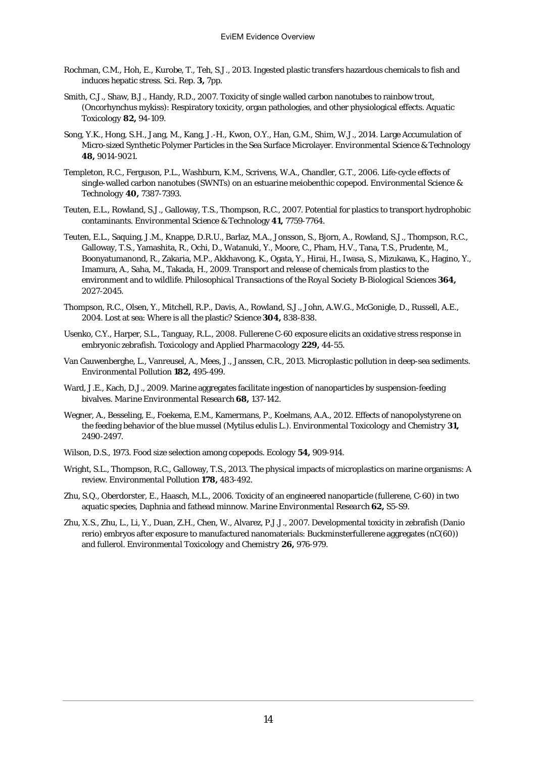- Rochman, C.M., Hoh, E., Kurobe, T., Teh, S.J., 2013. Ingested plastic transfers hazardous chemicals to fish and induces hepatic stress. *Sci. Rep*. **3,** 7pp.
- Smith, C.J., Shaw, B.J., Handy, R.D., 2007. Toxicity of single walled carbon nanotubes to rainbow trout, (Oncorhynchus mykiss): Respiratory toxicity, organ pathologies, and other physiological effects. *Aquatic Toxicology* **82,** 94-109.
- Song, Y.K., Hong, S.H., Jang, M., Kang, J.-H., Kwon, O.Y., Han, G.M., Shim, W.J., 2014. Large Accumulation of Micro-sized Synthetic Polymer Particles in the Sea Surface Microlayer. *Environmental Science & Technology* **48,** 9014-9021.
- Templeton, R.C., Ferguson, P.L., Washburn, K.M., Scrivens, W.A., Chandler, G.T., 2006. Life-cycle effects of single-walled carbon nanotubes (SWNTs) on an estuarine meiobenthic copepod. *Environmental Science & Technology* **40,** 7387-7393.
- Teuten, E.L., Rowland, S.J., Galloway, T.S., Thompson, R.C., 2007. Potential for plastics to transport hydrophobic contaminants. *Environmental Science & Techn*ology **41,** 7759-7764.
- Teuten, E.L., Saquing, J.M., Knappe, D.R.U., Barlaz, M.A., Jonsson, S., Bjorn, A., Rowland, S.J., Thompson, R.C., Galloway, T.S., Yamashita, R., Ochi, D., Watanuki, Y., Moore, C., Pham, H.V., Tana, T.S., Prudente, M., Boonyatumanond, R., Zakaria, M.P., Akkhavong, K., Ogata, Y., Hirai, H., Iwasa, S., Mizukawa, K., Hagino, Y., Imamura, A., Saha, M., Takada, H., 2009. Transport and release of chemicals from plastics to the environment and to wildlife. *Philosophical Transactions of the Royal Society B-Biological Sciences* **364,** 2027-2045.
- Thompson, R.C., Olsen, Y., Mitchell, R.P., Davis, A., Rowland, S.J., John, A.W.G., McGonigle, D., Russell, A.E., 2004. Lost at sea: Where is all the plastic? *Science* **304,** 838-838.
- Usenko, C.Y., Harper, S.L., Tanguay, R.L., 2008. Fullerene C-60 exposure elicits an oxidative stress response in embryonic zebrafish. *Toxicology and Applied Pharmacology* **229,** 44-55.
- Van Cauwenberghe, L., Vanreusel, A., Mees, J., Janssen, C.R., 2013. Microplastic pollution in deep-sea sediments. *Environmental Pollution* **182,** 495-499.
- Ward, J.E., Kach, D.J., 2009. Marine aggregates facilitate ingestion of nanoparticles by suspension-feeding bivalves. *Marine Environmental Research* **68,** 137-142.
- Wegner, A., Besseling, E., Foekema, E.M., Kamermans, P., Koelmans, A.A., 2012. Effects of nanopolystyrene on the feeding behavior of the blue mussel (Mytilus edulis L.). *Environmental Toxicology and Chemistry* **31,** 2490-2497.
- Wilson, D.S., 1973. Food size selection among copepods. *Ecology* **54,** 909-914.
- Wright, S.L., Thompson, R.C., Galloway, T.S., 2013. The physical impacts of microplastics on marine organisms: A review. *Environmental Pollution* **178,** 483-492.
- Zhu, S.Q., Oberdorster, E., Haasch, M.L., 2006. Toxicity of an engineered nanoparticle (fullerene, C-60) in two aquatic species, Daphnia and fathead minnow. *Marine Environmental Research* **62,** S5-S9.
- Zhu, X.S., Zhu, L., Li, Y., Duan, Z.H., Chen, W., Alvarez, P.J.J., 2007. Developmental toxicity in zebrafish (Danio rerio) embryos after exposure to manufactured nanomaterials: Buckminsterfullerene aggregates (nC(60)) and fullerol. *Environmental Toxicology and Chemistry* **26,** 976-979.